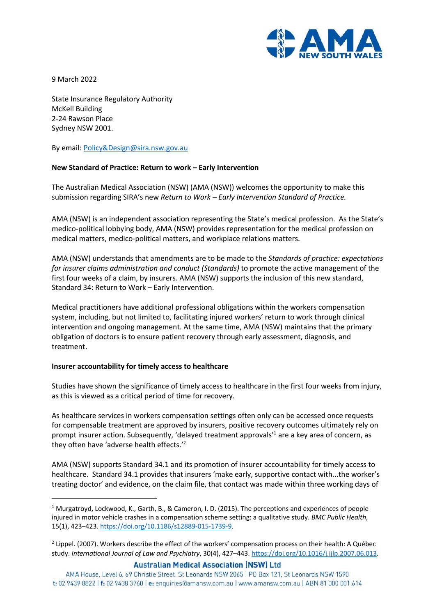

9 March 2022

State Insurance Regulatory Authority McKell Building 2-24 Rawson Place Sydney NSW 2001.

By email: Policy&Design@sira.nsw.gov.au

## **New Standard of Practice: Return to work – Early Intervention**

The Australian Medical Association (NSW) (AMA (NSW)) welcomes the opportunity to make this submission regarding SIRA's new *Return to Work – Early Intervention Standard of Practice.* 

AMA (NSW) is an independent association representing the State's medical profession. As the State's medico-political lobbying body, AMA (NSW) provides representation for the medical profession on medical matters, medico-political matters, and workplace relations matters.

AMA (NSW) understands that amendments are to be made to the *Standards of practice: expectations for insurer claims administration and conduct (Standards)* to promote the active management of the first four weeks of a claim, by insurers. AMA (NSW) supports the inclusion of this new standard, Standard 34: Return to Work – Early Intervention.

Medical practitioners have additional professional obligations within the workers compensation system, including, but not limited to, facilitating injured workers' return to work through clinical intervention and ongoing management. At the same time, AMA (NSW) maintains that the primary obligation of doctors is to ensure patient recovery through early assessment, diagnosis, and treatment.

## **Insurer accountability for timely access to healthcare**

Studies have shown the significance of timely access to healthcare in the first four weeks from injury, as this is viewed as a critical period of time for recovery.

As healthcare services in workers compensation settings often only can be accessed once requests for compensable treatment are approved by insurers, positive recovery outcomes ultimately rely on prompt insurer action. Subsequently, 'delayed treatment approvals'<sup>1</sup> are a key area of concern, as they often have 'adverse health effects.'<sup>2</sup>

AMA (NSW) supports Standard 34.1 and its promotion of insurer accountability for timely access to healthcare. Standard 34.1 provides that insurers 'make early, supportive contact with...the worker's treating doctor' and evidence, on the claim file, that contact was made within three working days of

**Australian Medical Association (NSW) Ltd** 

<sup>&</sup>lt;sup>1</sup> Murgatroyd, Lockwood, K., Garth, B., & Cameron, I. D. (2015). The perceptions and experiences of people injured in motor vehicle crashes in a compensation scheme setting: a qualitative study. *BMC Public Health*, 15(1), 423–423. https://doi.org/10.1186/s12889-015-1739-9.

<sup>&</sup>lt;sup>2</sup> Lippel. (2007). Workers describe the effect of the workers' compensation process on their health: A Québec study. *International Journal of Law and Psychiatry*, 30(4), 427–443. https://doi.org/10.1016/j.ijlp.2007.06.013.